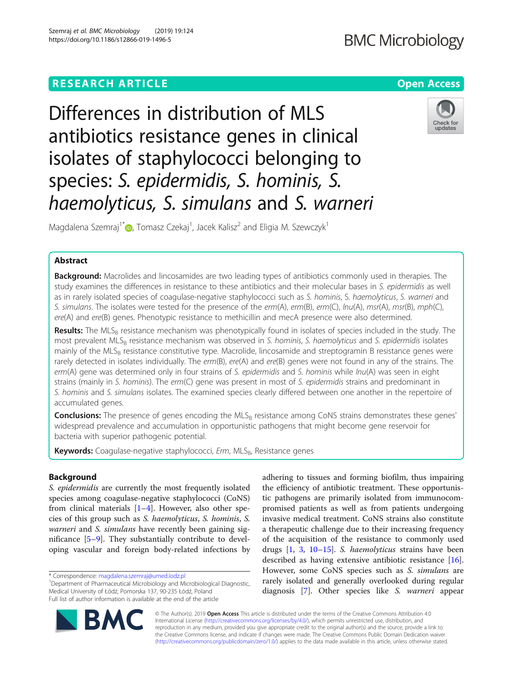# **BMC Microbiology**

# **RESEARCH ARTICLE Example 2014 12:30 The Contract of Contract ACCESS**

# Differences in distribution of MLS antibiotics resistance genes in clinical isolates of staphylococci belonging to species: S. epidermidis, S. hominis, S. haemolyticus, S. simulans and S. warneri



Magdalena Szemraj<sup>1\*</sup>®[,](http://orcid.org/0000-0002-1986-2220) Tomasz Czekaj<sup>1</sup>, Jacek Kalisz<sup>2</sup> and Eligia M. Szewczyk<sup>1</sup>

# Abstract

**Background:** Macrolides and lincosamides are two leading types of antibiotics commonly used in therapies. The study examines the differences in resistance to these antibiotics and their molecular bases in S. epidermidis as well as in rarely isolated species of coagulase-negative staphylococci such as S. hominis, S. haemolyticus, S. warneri and S. simulans. The isolates were tested for the presence of the erm(A), erm(B), erm(C), lnu(A), msr(A), msr(B), mph(C), ere(A) and ere(B) genes. Phenotypic resistance to methicillin and mecA presence were also determined.

Results: The MLS<sub>B</sub> resistance mechanism was phenotypically found in isolates of species included in the study. The most prevalent MLS<sub>B</sub> resistance mechanism was observed in S. hominis, S. haemolyticus and S. epidermidis isolates mainly of the MLS<sub>B</sub> resistance constitutive type. Macrolide, lincosamide and streptogramin B resistance genes were rarely detected in isolates individually. The erm(B), ere(A) and ere(B) genes were not found in any of the strains. The erm(A) gene was determined only in four strains of S. epidermidis and S. hominis while lnu(A) was seen in eight strains (mainly in S. hominis). The erm(C) gene was present in most of S. epidermidis strains and predominant in S. hominis and S. simulans isolates. The examined species clearly differed between one another in the repertoire of accumulated genes.

**Conclusions:** The presence of genes encoding the MLS<sub>B</sub> resistance among CoNS strains demonstrates these genes' widespread prevalence and accumulation in opportunistic pathogens that might become gene reservoir for bacteria with superior pathogenic potential.

Keywords: Coagulase-negative staphylococci, Erm, MLS<sub>B</sub>, Resistance genes

# Background

S. epidermidis are currently the most frequently isolated species among coagulase-negative staphylococci (CoNS) from clinical materials  $[1-4]$  $[1-4]$  $[1-4]$ . However, also other species of this group such as S. haemolyticus, S. hominis, S. warneri and S. simulans have recently been gaining significance [[5](#page-7-0)–[9](#page-7-0)]. They substantially contribute to developing vascular and foreign body-related infections by

<sup>1</sup>Department of Pharmaceutical Microbiology and Microbiological Diagnostic, Medical University of Łódź, Pomorska 137, 90-235 Łódź, Poland Full list of author information is available at the end of the article

adhering to tissues and forming biofilm, thus impairing the efficiency of antibiotic treatment. These opportunistic pathogens are primarily isolated from immunocompromised patients as well as from patients undergoing invasive medical treatment. CoNS strains also constitute a therapeutic challenge due to their increasing frequency of the acquisition of the resistance to commonly used drugs [\[1](#page-7-0), [3](#page-7-0), [10](#page-7-0)–[15\]](#page-7-0). S. haemolyticus strains have been described as having extensive antibiotic resistance [\[16](#page-7-0)]. However, some CoNS species such as S. simulans are rarely isolated and generally overlooked during regular diagnosis [[7](#page-7-0)]. Other species like S. warneri appear



© The Author(s). 2019 Open Access This article is distributed under the terms of the Creative Commons Attribution 4.0 International License [\(http://creativecommons.org/licenses/by/4.0/](http://creativecommons.org/licenses/by/4.0/)), which permits unrestricted use, distribution, and reproduction in any medium, provided you give appropriate credit to the original author(s) and the source, provide a link to the Creative Commons license, and indicate if changes were made. The Creative Commons Public Domain Dedication waiver [\(http://creativecommons.org/publicdomain/zero/1.0/](http://creativecommons.org/publicdomain/zero/1.0/)) applies to the data made available in this article, unless otherwise stated.

<sup>\*</sup> Correspondence: [magdalena.szemraj@umed.lodz.pl](mailto:magdalena.szemraj@umed.lodz.pl) <sup>1</sup>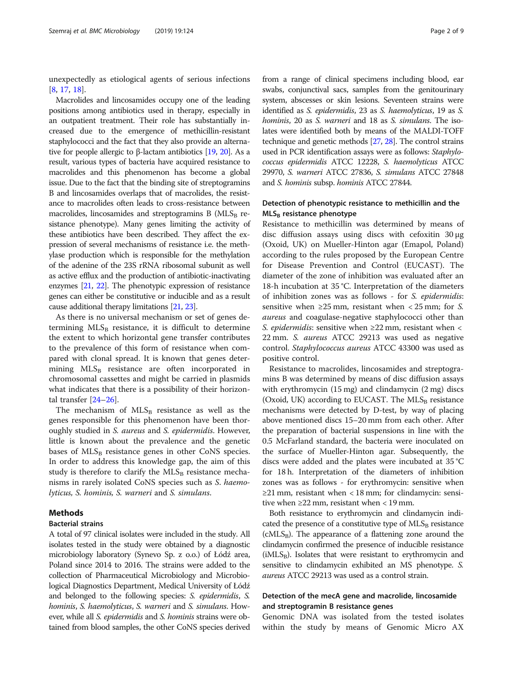unexpectedly as etiological agents of serious infections [[8,](#page-7-0) [17,](#page-7-0) [18\]](#page-7-0).

Macrolides and lincosamides occupy one of the leading positions among antibiotics used in therapy, especially in an outpatient treatment. Their role has substantially increased due to the emergence of methicillin-resistant staphylococci and the fact that they also provide an alternative for people allergic to β-lactam antibiotics [\[19,](#page-7-0) [20\]](#page-7-0). As a result, various types of bacteria have acquired resistance to macrolides and this phenomenon has become a global issue. Due to the fact that the binding site of streptogramins B and lincosamides overlaps that of macrolides, the resistance to macrolides often leads to cross-resistance between macrolides, lincosamides and streptogramins B  $(MLS_B$  resistance phenotype). Many genes limiting the activity of these antibiotics have been described. They affect the expression of several mechanisms of resistance i.e. the methylase production which is responsible for the methylation of the adenine of the 23S rRNA ribosomal subunit as well as active efflux and the production of antibiotic-inactivating enzymes [\[21](#page-7-0), [22](#page-7-0)]. The phenotypic expression of resistance genes can either be constitutive or inducible and as a result cause additional therapy limitations [\[21](#page-7-0), [23](#page-7-0)].

As there is no universal mechanism or set of genes determining  $MLS_B$  resistance, it is difficult to determine the extent to which horizontal gene transfer contributes to the prevalence of this form of resistance when compared with clonal spread. It is known that genes determining  $MLS_B$  resistance are often incorporated in chromosomal cassettes and might be carried in plasmids what indicates that there is a possibility of their horizontal transfer [\[24](#page-7-0)–[26\]](#page-7-0).

The mechanism of  $MLS_B$  resistance as well as the genes responsible for this phenomenon have been thoroughly studied in S. aureus and S. epidermidis. However, little is known about the prevalence and the genetic bases of  $MLS_B$  resistance genes in other CoNS species. In order to address this knowledge gap, the aim of this study is therefore to clarify the  $MLS_B$  resistance mechanisms in rarely isolated CoNS species such as S. haemolyticus, S. hominis, S. warneri and S. simulans.

### Methods

### Bacterial strains

A total of 97 clinical isolates were included in the study. All isolates tested in the study were obtained by a diagnostic microbiology laboratory (Synevo Sp. z o.o.) of Łódź area, Poland since 2014 to 2016. The strains were added to the collection of Pharmaceutical Microbiology and Microbiological Diagnostics Department, Medical University of Łódź and belonged to the following species: S. epidermidis, S. hominis, S. haemolyticus, S. warneri and S. simulans. However, while all *S. epidermidis* and *S. hominis* strains were obtained from blood samples, the other CoNS species derived from a range of clinical specimens including blood, ear swabs, conjunctival sacs, samples from the genitourinary system, abscesses or skin lesions. Seventeen strains were identified as S. epidermidis, 23 as S. haemolyticus, 19 as S. hominis, 20 as S. warneri and 18 as S. simulans. The isolates were identified both by means of the MALDI-TOFF technique and genetic methods [[27](#page-7-0), [28](#page-7-0)]. The control strains used in PCR identification assays were as follows: Staphylococcus epidermidis ATCC 12228, S. haemolyticus ATCC 29970, S. warneri ATCC 27836, S. simulans ATCC 27848 and S. hominis subsp. hominis ATCC 27844.

# Detection of phenotypic resistance to methicillin and the  $MLS_B$  resistance phenotype

Resistance to methicillin was determined by means of disc diffusion assays using discs with cefoxitin 30 μg (Oxoid, UK) on Mueller-Hinton agar (Emapol, Poland) according to the rules proposed by the European Centre for Disease Prevention and Control (EUCAST). The diameter of the zone of inhibition was evaluated after an 18-h incubation at 35 °C. Interpretation of the diameters of inhibition zones was as follows - for S. epidermidis: sensitive when  $\geq$ 25 mm, resistant when < 25 mm; for S. aureus and coagulase-negative staphylococci other than S. epidermidis: sensitive when ≥22 mm, resistant when < 22 mm. S. aureus ATCC 29213 was used as negative control. Staphylococcus aureus ATCC 43300 was used as positive control.

Resistance to macrolides, lincosamides and streptogramins B was determined by means of disc diffusion assays with erythromycin (15 mg) and clindamycin (2 mg) discs (Oxoid, UK) according to EUCAST. The  $MLS_B$  resistance mechanisms were detected by D-test, by way of placing above mentioned discs 15–20 mm from each other. After the preparation of bacterial suspensions in line with the 0.5 McFarland standard, the bacteria were inoculated on the surface of Mueller-Hinton agar. Subsequently, the discs were added and the plates were incubated at 35 °C for 18 h. Interpretation of the diameters of inhibition zones was as follows - for erythromycin: sensitive when ≥21 mm, resistant when < 18 mm; for clindamycin: sensitive when ≥22 mm, resistant when < 19 mm.

Both resistance to erythromycin and clindamycin indicated the presence of a constitutive type of  $MLS<sub>B</sub>$  resistance  $(cMLS_B)$ . The appearance of a flattening zone around the clindamycin confirmed the presence of inducible resistance  $(iMLS_B)$ . Isolates that were resistant to erythromycin and sensitive to clindamycin exhibited an MS phenotype. S. aureus ATCC 29213 was used as a control strain.

# Detection of the mecA gene and macrolide, lincosamide and streptogramin B resistance genes

Genomic DNA was isolated from the tested isolates within the study by means of Genomic Micro AX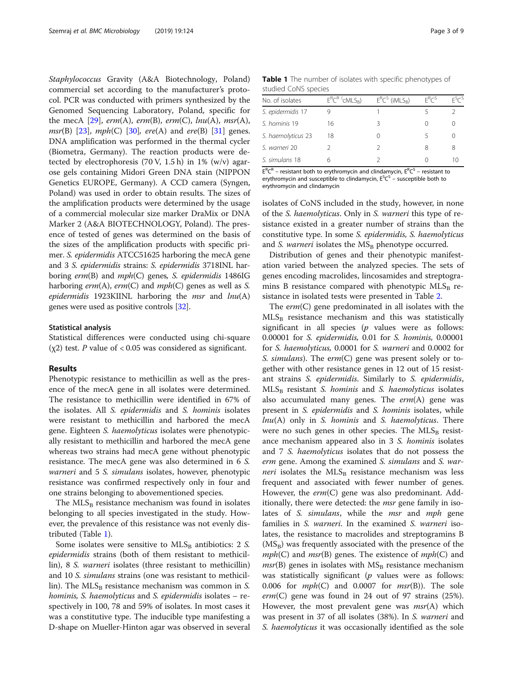Staphylococcus Gravity (A&A Biotechnology, Poland) commercial set according to the manufacturer's protocol. PCR was conducted with primers synthesized by the Genomed Sequencing Laboratory, Poland, specific for the mecA  $[29]$  $[29]$ ,  $erm(A)$ ,  $erm(B)$ ,  $erm(C)$ ,  $lnu(A)$ ,  $msr(A)$ , *msr*(B) [\[23](#page-7-0)],  $mph(C)$  [\[30](#page-7-0)],  $ere(A)$  and  $ere(B)$  [[31](#page-7-0)] genes. DNA amplification was performed in the thermal cycler (Biometra, Germany). The reaction products were detected by electrophoresis (70 V, 1.5 h) in 1% (w/v) agarose gels containing Midori Green DNA stain (NIPPON Genetics EUROPE, Germany). A CCD camera (Syngen, Poland) was used in order to obtain results. The sizes of the amplification products were determined by the usage of a commercial molecular size marker DraMix or DNA Marker 2 (A&A BIOTECHNOLOGY, Poland). The presence of tested of genes was determined on the basis of the sizes of the amplification products with specific primer. S. epidermidis ATCC51625 harboring the mecA gene and 3 S. epidermidis strains: S. epidermidis 3718INL harboring erm(B) and mph(C) genes, S. epidermidis 1486IG harboring  $erm(A)$ ,  $erm(C)$  and  $mph(C)$  genes as well as S. epidermidis 1923KIINL harboring the msr and  $lnu(A)$ genes were used as positive controls [[32](#page-7-0)].

#### Statistical analysis

Statistical differences were conducted using chi-square  $(\chi 2)$  test. P value of < 0.05 was considered as significant.

# Results

Phenotypic resistance to methicillin as well as the presence of the mecA gene in all isolates were determined. The resistance to methicillin were identified in 67% of the isolates. All S. epidermidis and S. hominis isolates were resistant to methicillin and harbored the mecA gene. Eighteen S. haemolyticus isolates were phenotypically resistant to methicillin and harbored the mecA gene whereas two strains had mecA gene without phenotypic resistance. The mecA gene was also determined in 6 S. warneri and 5 S. simulans isolates, however, phenotypic resistance was confirmed respectively only in four and one strains belonging to abovementioned species.

The  $MLS_B$  resistance mechanism was found in isolates belonging to all species investigated in the study. However, the prevalence of this resistance was not evenly distributed (Table 1).

Some isolates were sensitive to  $MLS<sub>B</sub>$  antibiotics: 2 S. epidermidis strains (both of them resistant to methicillin), 8 S. warneri isolates (three resistant to methicillin) and 10 S. simulans strains (one was resistant to methicillin). The  $MLS_B$  resistance mechanism was common in S. hominis, S. haemolyticus and S. epidermidis isolates – respectively in 100, 78 and 59% of isolates. In most cases it was a constitutive type. The inducible type manifesting a D-shape on Mueller-Hinton agar was observed in several

| <b>Table 1</b> The number of isolates with specific phenotypes of |  |  |
|-------------------------------------------------------------------|--|--|
| studied CoNS species                                              |  |  |

| No. of isolates    | $E^R C^R$ $\langle$ CMLS <sub>R</sub> $\rangle$ | $E^{R}C^{S}$ (iMLS <sub>R</sub> ) | $F^R C^S$                | F <sup>S</sup> C <sup>S</sup> |
|--------------------|-------------------------------------------------|-----------------------------------|--------------------------|-------------------------------|
| S. epidermidis 17  |                                                 |                                   |                          |                               |
| S. hominis 19      | 16                                              | 3                                 |                          |                               |
| S. haemolyticus 23 | 18                                              |                                   | $\overline{\phantom{a}}$ |                               |
| S. warneri 20      |                                                 |                                   | 8                        | 8                             |
| S. simulans 18     | 6                                               |                                   |                          | 10                            |
|                    |                                                 |                                   |                          |                               |

 $E^{R}C^{R}$  – resistant both to erythromycin and clindamycin,  $E^{R}C^{S}$  – resistant to erythromycin and susceptible to clindamycin,  $E^SC^S$  – susceptible both to erythromycin and clindamycin

isolates of CoNS included in the study, however, in none of the S. haemolyticus. Only in S. warneri this type of resistance existed in a greater number of strains than the constitutive type. In some S. epidermidis, S. haemolyticus and S. warneri isolates the  $MS_B$  phenotype occurred.

Distribution of genes and their phenotypic manifestation varied between the analyzed species. The sets of genes encoding macrolides, lincosamides and streptogramins B resistance compared with phenotypic  $MLS_B$  resistance in isolated tests were presented in Table [2.](#page-3-0)

The  $erm(C)$  gene predominated in all isolates with the  $MLS_B$  resistance mechanism and this was statistically significant in all species  $(p$  values were as follows: 0.00001 for S. epidermidis, 0.01 for S. hominis, 0.00001 for S. haemolyticus, 0.0001 for S. warneri and 0.0002 for S. simulans). The erm(C) gene was present solely or together with other resistance genes in 12 out of 15 resistant strains S. epidermidis. Similarly to S. epidermidis,  $MLS<sub>B</sub>$  resistant *S. hominis* and *S. haemolyticus* isolates also accumulated many genes. The  $erm(A)$  gene was present in S. epidermidis and S. hominis isolates, while  $lnu(A)$  only in S. hominis and S. haemolyticus. There were no such genes in other species. The  $MLS_B$  resistance mechanism appeared also in 3 S. hominis isolates and 7 S. haemolyticus isolates that do not possess the erm gene. Among the examined S. simulans and S. warneri isolates the  $MLS_B$  resistance mechanism was less frequent and associated with fewer number of genes. However, the erm(C) gene was also predominant. Additionally, there were detected: the *msr* gene family in isolates of *S. simulans*, while the *msr* and *mph* gene families in S. *warneri*. In the examined S. *warneri* isolates, the resistance to macrolides and streptogramins B  $(MS_B)$  was frequently associated with the presence of the  $mph(C)$  and  $msr(B)$  genes. The existence of  $mph(C)$  and  $msr(B)$  genes in isolates with  $MS_B$  resistance mechanism was statistically significant  $(p$  values were as follows: 0.006 for  $mph(C)$  and 0.0007 for  $msr(B)$ ). The sole  $erm(C)$  gene was found in 24 out of 97 strains (25%). However, the most prevalent gene was  $msr(A)$  which was present in 37 of all isolates (38%). In S. warneri and S. haemolyticus it was occasionally identified as the sole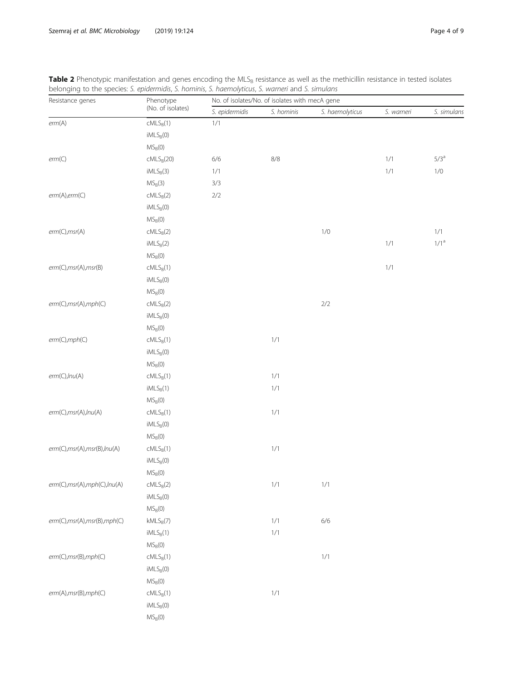<span id="page-3-0"></span>

|                  | Table 2 Phenotypic manifestation and genes encoding the MLS <sub>B</sub> resistance as well as the methicillin resistance in tested isolates<br>belonging to the species: S. epidermidis, S. hominis, S. haemolyticus, S. warneri and S. simulans |                                                |           |                |         |          |  |
|------------------|---------------------------------------------------------------------------------------------------------------------------------------------------------------------------------------------------------------------------------------------------|------------------------------------------------|-----------|----------------|---------|----------|--|
| Resistance genes | Phenotype                                                                                                                                                                                                                                         | No. of isolates/No. of isolates with mecA gene |           |                |         |          |  |
|                  | (No. of isolates)                                                                                                                                                                                                                                 | enidermidis                                    | S hominis | S haemolyticus | warneri | simulans |  |

| Resistance genes               | Phenotype                       | No. of isolates/No. of isolates with mecA gene |            |                 |            |               |
|--------------------------------|---------------------------------|------------------------------------------------|------------|-----------------|------------|---------------|
|                                | (No. of isolates)               | S. epidermidis                                 | S. hominis | S. haemolyticus | S. warneri | S. simulans   |
| erm(A)                         | $cMLS_B(1)$                     | $1/1$                                          |            |                 |            |               |
|                                | $\mathsf{iMLS}_{\mathsf{B}}(0)$ |                                                |            |                 |            |               |
|                                | $MS_B(0)$                       |                                                |            |                 |            |               |
| erm(C)                         | $cMLS_B(20)$                    | $6/6$                                          | $8/8$      |                 | $1/1$      | $5/3^{\rm a}$ |
|                                | $IMLS_B(3)$                     | $1/1$                                          |            |                 | $1/1$      | $1/0$         |
|                                | $MS_B(3)$                       | 3/3                                            |            |                 |            |               |
| erm(A),erm(C)                  | $cMLS_B(2)$                     | $2/2$                                          |            |                 |            |               |
|                                | $IMLS_B(0)$                     |                                                |            |                 |            |               |
|                                | $MS_B(0)$                       |                                                |            |                 |            |               |
| erm(C), msr(A)                 | $cMLS_B(2)$                     |                                                |            | $1/0$           |            | $1/1$         |
|                                | $IMLS_B(2)$                     |                                                |            |                 | $1/1$      | $1/1^{\rm a}$ |
|                                | $MS_B(0)$                       |                                                |            |                 |            |               |
| erm(C), msr(A), msr(B)         | $cMLS_B(1)$                     |                                                |            |                 | $1/1$      |               |
|                                | $IMLS_B(0)$                     |                                                |            |                 |            |               |
|                                | $MS_B(0)$                       |                                                |            |                 |            |               |
| erm(C),msr(A),mph(C)           | $cMLS_B(2)$                     |                                                |            | $2/2$           |            |               |
|                                | $IMLS_B(0)$                     |                                                |            |                 |            |               |
|                                | $MS_B(0)$                       |                                                |            |                 |            |               |
| erm(C), mph(C)                 | $cMLS_B(1)$                     |                                                | $1/1$      |                 |            |               |
|                                | $IMLS_B(0)$                     |                                                |            |                 |            |               |
|                                | $\mathsf{MS}_{\mathsf{B}}(0)$   |                                                |            |                 |            |               |
| erm(C), lnu(A)                 | $cMLS_B(1)$                     |                                                | $1/1$      |                 |            |               |
|                                | $IMLS_B(1)$                     |                                                | $1/1$      |                 |            |               |
|                                | $MS_B(0)$                       |                                                |            |                 |            |               |
| erm(C), msr(A), Inu(A)         | $cMLS_B(1)$                     |                                                | $1/1$      |                 |            |               |
|                                | $IMLS_B(0)$                     |                                                |            |                 |            |               |
|                                | $MS_B(0)$                       |                                                |            |                 |            |               |
| erm(C), msr(A), msr(B), Inu(A) | $cMLS_B(1)$                     |                                                | $1/1$      |                 |            |               |
|                                | $IMLS_B(0)$                     |                                                |            |                 |            |               |
|                                | $\mathsf{MS}_{\mathsf{B}}(0)$   |                                                |            |                 |            |               |
| erm(C), msr(A), mph(C), Inu(A) | $cMLS_B(2)$                     |                                                | $1/1$      | 1/1             |            |               |
|                                | $IMLS_B(0)$                     |                                                |            |                 |            |               |
|                                | $MS_B(0)$                       |                                                |            |                 |            |               |
| erm(C), msr(A), msr(B), mph(C) | $kMLS_B(7)$                     |                                                | $1/1$      | $6/6$           |            |               |
|                                | $IMLS_B(1)$                     |                                                | $1/1$      |                 |            |               |
|                                | $MS_B(0)$                       |                                                |            |                 |            |               |
| erm(C), msr(B), mph(C)         | $cMLS_B(1)$                     |                                                |            | $1/1$           |            |               |
|                                | $IMLS_B(0)$                     |                                                |            |                 |            |               |
|                                | $MS_B(0)$                       |                                                |            |                 |            |               |
| erm(A), msr(B), mph(C)         | $cMLS_B(1)$                     |                                                | $1/1$      |                 |            |               |
|                                | $IMLS_B(0)$                     |                                                |            |                 |            |               |
|                                | $\mathsf{MS}_{\mathsf{B}}(0)$   |                                                |            |                 |            |               |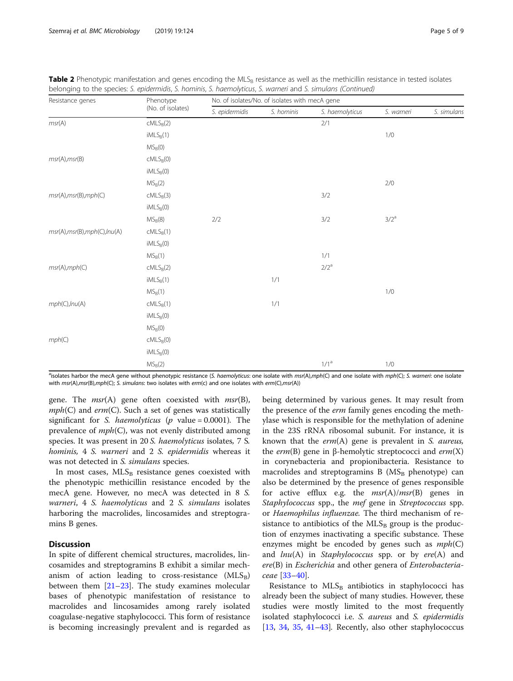| Resistance genes            | Phenotype         | No. of isolates/No. of isolates with mecA gene |            |                 |               |             |  |  |  |
|-----------------------------|-------------------|------------------------------------------------|------------|-----------------|---------------|-------------|--|--|--|
|                             | (No. of isolates) | S. epidermidis                                 | S. hominis | S. haemolyticus | S. warneri    | S. simulans |  |  |  |
| msr(A)                      | $cMLS_B(2)$       |                                                |            | 2/1             |               |             |  |  |  |
|                             | $IMLS_B(1)$       |                                                |            |                 | $1/0$         |             |  |  |  |
|                             | $MS_B(0)$         |                                                |            |                 |               |             |  |  |  |
| msr(A),msr(B)               | $cMLS_B(0)$       |                                                |            |                 |               |             |  |  |  |
|                             | $IMLS_B(0)$       |                                                |            |                 |               |             |  |  |  |
|                             | $MS_B(2)$         |                                                |            |                 | $2/0$         |             |  |  |  |
| msr(A),msr(B),mph(C)        | $cMLS_B(3)$       |                                                |            | 3/2             |               |             |  |  |  |
|                             | $IMLS_B(0)$       |                                                |            |                 |               |             |  |  |  |
|                             | $MS_B(8)$         | $2/2$                                          |            | 3/2             | $3/2^{\rm a}$ |             |  |  |  |
| msr(A),msr(B),mph(C),lnu(A) | $cMLS_B(1)$       |                                                |            |                 |               |             |  |  |  |
|                             | $IMLS_B(0)$       |                                                |            |                 |               |             |  |  |  |
|                             | $MS_B(1)$         |                                                |            | 1/1             |               |             |  |  |  |
| msr(A), mph(C)              | $cMLS_B(2)$       |                                                |            | $2/2^{\rm a}$   |               |             |  |  |  |
|                             | $IMLS_B(1)$       |                                                | $1/1$      |                 |               |             |  |  |  |
|                             | $MS_B(1)$         |                                                |            |                 | $1/0$         |             |  |  |  |
| mph(C), lnu(A)              | $cMLS_B(1)$       |                                                | $1/1$      |                 |               |             |  |  |  |
|                             | $IMLS_B(0)$       |                                                |            |                 |               |             |  |  |  |
|                             | $MS_B(0)$         |                                                |            |                 |               |             |  |  |  |
| mph(C)                      | $cMLS_B(0)$       |                                                |            |                 |               |             |  |  |  |
|                             | $IMLS_B(0)$       |                                                |            |                 |               |             |  |  |  |
|                             | $MS_B(2)$         |                                                |            | $1/1^{\rm a}$   | $1/0$         |             |  |  |  |

| Table 2 Phenotypic manifestation and genes encoding the MLS <sub>B</sub> resistance as well as the methicillin resistance in tested isolates |  |  |  |  |  |  |
|----------------------------------------------------------------------------------------------------------------------------------------------|--|--|--|--|--|--|
| belonging to the species: S. epidermidis, S. hominis, S. haemolyticus, S. warneri and S. simulans (Continued)                                |  |  |  |  |  |  |

<sup>a</sup>isolates harbor the mecA gene without phenotypic resistance (S. haemolyticus: one isolate with msr(A),mph(C) and one isolate with mph(C); S. warneri: one isolate with msr(A),msr(B),mph(C); S. simulans: two isolates with erm(c) and one isolates with erm(C),msr(A))

gene. The  $msr(A)$  gene often coexisted with  $msr(B)$ ,  $mph(C)$  and  $erm(C)$ . Such a set of genes was statistically significant for *S. haemolyticus* ( $p$  value = 0.0001). The prevalence of  $mph(C)$ , was not evenly distributed among species. It was present in 20 S. haemolyticus isolates, 7 S. hominis, 4 S. warneri and 2 S. epidermidis whereas it was not detected in S. simulans species.

In most cases,  $MLS_B$  resistance genes coexisted with the phenotypic methicillin resistance encoded by the mecA gene. However, no mecA was detected in 8 S. warneri, 4 S. haemolyticus and 2 S. simulans isolates harboring the macrolides, lincosamides and streptogramins B genes.

# **Discussion**

In spite of different chemical structures, macrolides, lincosamides and streptogramins B exhibit a similar mechanism of action leading to cross-resistance  $(MLS_B)$ between them [\[21](#page-7-0)–[23\]](#page-7-0). The study examines molecular bases of phenotypic manifestation of resistance to macrolides and lincosamides among rarely isolated coagulase-negative staphylococci. This form of resistance is becoming increasingly prevalent and is regarded as

being determined by various genes. It may result from the presence of the *erm* family genes encoding the methylase which is responsible for the methylation of adenine in the 23S rRNA ribosomal subunit. For instance, it is known that the  $erm(A)$  gene is prevalent in S. aureus, the *erm*(B) gene in β-hemolytic streptococci and *erm*(X) in corynebacteria and propionibacteria. Resistance to macrolides and streptogramins  $B(MS_B)$  phenotype) can also be determined by the presence of genes responsible for active efflux e.g. the  $msr(A)/msr(B)$  genes in Staphylococcus spp., the mef gene in Streptococcus spp. or Haemophilus influenzae. The third mechanism of resistance to antibiotics of the  $MLS_B$  group is the production of enzymes inactivating a specific substance. These enzymes might be encoded by genes such as  $mph(C)$ and  $lnu(A)$  in *Staphylococcus* spp. or by  $ere(A)$  and ere(B) in Escherichia and other genera of Enterobacteriaceae [\[33](#page-7-0)–[40\]](#page-7-0).

Resistance to  $MLS_B$  antibiotics in staphylococci has already been the subject of many studies. However, these studies were mostly limited to the most frequently isolated staphylococci i.e. S. aureus and S. epidermidis [[13,](#page-7-0) [34,](#page-7-0) [35,](#page-7-0) [41](#page-8-0)–[43](#page-8-0)]. Recently, also other staphylococcus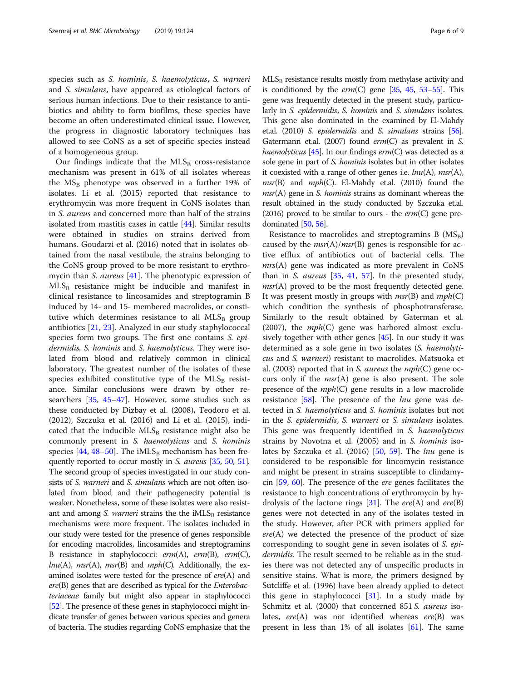species such as S. hominis, S. haemolyticus, S. warneri and S. simulans, have appeared as etiological factors of serious human infections. Due to their resistance to antibiotics and ability to form biofilms, these species have become an often underestimated clinical issue. However, the progress in diagnostic laboratory techniques has allowed to see CoNS as a set of specific species instead of a homogeneous group.

Our findings indicate that the  $MLS_B$  cross-resistance mechanism was present in 61% of all isolates whereas the  $MS_B$  phenotype was observed in a further 19% of isolates. Li et al. (2015) reported that resistance to erythromycin was more frequent in CoNS isolates than in S. aureus and concerned more than half of the strains isolated from mastitis cases in cattle [\[44\]](#page-8-0). Similar results were obtained in studies on strains derived from humans. Goudarzi et al. (2016) noted that in isolates obtained from the nasal vestibule, the strains belonging to the CoNS group proved to be more resistant to erythromycin than *S. aureus* [\[41](#page-8-0)]. The phenotypic expression of  $MLS<sub>B</sub>$  resistance might be inducible and manifest in clinical resistance to lincosamides and streptogramin B induced by 14- and 15- membered macrolides, or constitutive which determines resistance to all  $MLS_B$  group antibiotics [\[21,](#page-7-0) [23\]](#page-7-0). Analyzed in our study staphylococcal species form two groups. The first one contains S. epidermidis, S. hominis and S. haemolyticus. They were isolated from blood and relatively common in clinical laboratory. The greatest number of the isolates of these species exhibited constitutive type of the  $MLS<sub>B</sub>$  resistance. Similar conclusions were drawn by other researchers [[35,](#page-7-0) [45](#page-8-0)–[47](#page-8-0)]. However, some studies such as these conducted by Dizbay et al. (2008), Teodoro et al. (2012), Szczuka et al. (2016) and Li et al. (2015), indicated that the inducible  $MLS_B$  resistance might also be commonly present in S. haemolyticus and S. hominis species [\[44](#page-8-0), [48](#page-8-0)–[50\]](#page-8-0). The iMLS<sub>B</sub> mechanism has been fre-quently reported to occur mostly in S. aureus [\[35,](#page-7-0) [50,](#page-8-0) [51](#page-8-0)]. The second group of species investigated in our study consists of S. warneri and S. simulans which are not often isolated from blood and their pathogenecity potential is weaker. Nonetheless, some of these isolates were also resistant and among *S. warneri* strains the the  $IMLS<sub>B</sub>$  resistance mechanisms were more frequent. The isolates included in our study were tested for the presence of genes responsible for encoding macrolides, lincosamides and streptogramins B resistance in staphylococci: erm(A), erm(B), erm(C),  $lnu(A)$ , msr(A), msr(B) and mph(C). Additionally, the examined isolates were tested for the presence of  $ere(A)$  and ere(B) genes that are described as typical for the Enterobacteriaceae family but might also appear in staphylococci [[52](#page-8-0)]. The presence of these genes in staphylococci might indicate transfer of genes between various species and genera of bacteria. The studies regarding CoNS emphasize that the  $MLS<sub>B</sub>$  resistance results mostly from methylase activity and is conditioned by the  $erm(C)$  gene [\[35](#page-7-0), [45](#page-8-0), [53](#page-8-0)–[55\]](#page-8-0). This gene was frequently detected in the present study, particularly in *S. epidermidis*, *S. hominis* and *S. simulans* isolates. This gene also dominated in the examined by El-Mahdy et.al. (2010) S. epidermidis and S. simulans strains [\[56](#page-8-0)]. Gatermann et.al. (2007) found  $erm(C)$  as prevalent in S. haemolyticus [\[45\]](#page-8-0). In our findings  $erm(C)$  was detected as a sole gene in part of S. hominis isolates but in other isolates it coexisted with a range of other genes i.e.  $lnu(A)$ , msr(A),  $msr(B)$  and  $mph(C)$ . El-Mahdy et.al. (2010) found the  $msr(A)$  gene in S. *hominis* strains as dominant whereas the result obtained in the study conducted by Szczuka et.al. (2016) proved to be similar to ours - the  $erm(C)$  gene predominated  $[50, 56]$  $[50, 56]$  $[50, 56]$ .

Resistance to macrolides and streptogramins B  $(MS_B)$ caused by the  $msr(A)/msr(B)$  genes is responsible for active efflux of antibiotics out of bacterial cells. The mrs(A) gene was indicated as more prevalent in CoNS than in S. *aureus*  $[35, 41, 57]$  $[35, 41, 57]$  $[35, 41, 57]$  $[35, 41, 57]$  $[35, 41, 57]$  $[35, 41, 57]$ . In the presented study,  $msr(A)$  proved to be the most frequently detected gene. It was present mostly in groups with  $msr(B)$  and  $mph(C)$ which condition the synthesis of phosphotransferase. Similarly to the result obtained by Gaterman et al. (2007), the  $mph(C)$  gene was harbored almost exclusively together with other genes [\[45\]](#page-8-0). In our study it was determined as a sole gene in two isolates (S. haemolyticus and S. warneri) resistant to macrolides. Matsuoka et al. (2003) reported that in S. *aureus* the  $mph(C)$  gene occurs only if the  $msr(A)$  gene is also present. The sole presence of the  $mph(C)$  gene results in a low macrolide resistance  $[58]$  $[58]$  $[58]$ . The presence of the *lnu* gene was detected in S. haemolyticus and S. hominis isolates but not in the S. epidermidis, S. warneri or S. simulans isolates. This gene was frequently identified in S. haemolyticus strains by Novotna et al. (2005) and in S. hominis isolates by Szczuka et al.  $(2016)$  [[50,](#page-8-0) [59\]](#page-8-0). The *lnu* gene is considered to be responsible for lincomycin resistance and might be present in strains susceptible to clindamycin [[59](#page-8-0), [60\]](#page-8-0). The presence of the ere genes facilitates the resistance to high concentrations of erythromycin by hy-drolysis of the lactone rings [\[31\]](#page-7-0). The  $ere(A)$  and  $ere(B)$ genes were not detected in any of the isolates tested in the study. However, after PCR with primers applied for  $ere(A)$  we detected the presence of the product of size corresponding to sought gene in seven isolates of S. epidermidis. The result seemed to be reliable as in the studies there was not detected any of unspecific products in sensitive stains. What is more, the primers designed by Sutcliffe et al. (1996) have been already applied to detect this gene in staphylococci  $[31]$  $[31]$  $[31]$ . In a study made by Schmitz et al. (2000) that concerned 851 S. *aureus* isolates,  $ere(A)$  was not identified whereas  $ere(B)$  was present in less than 1% of all isolates [[61\]](#page-8-0). The same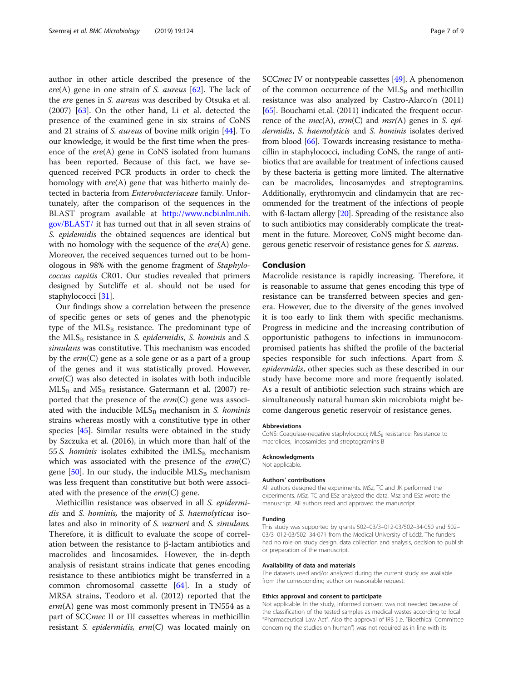author in other article described the presence of the  $ere(A)$  gene in one strain of S. *aureus* [\[62](#page-8-0)]. The lack of the ere genes in S. aureus was described by Otsuka et al. (2007) [[63](#page-8-0)]. On the other hand, Li et al. detected the presence of the examined gene in six strains of CoNS and 21 strains of S. aureus of bovine milk origin [[44\]](#page-8-0). To our knowledge, it would be the first time when the presence of the ere(A) gene in CoNS isolated from humans has been reported. Because of this fact, we have sequenced received PCR products in order to check the homology with ere(A) gene that was hitherto mainly detected in bacteria from Enterobacteriaceae family. Unfortunately, after the comparison of the sequences in the BLAST program available at [http://www.ncbi.nlm.nih.](http://www.ncbi.nlm.nih.gov/BLAST/) [gov/BLAST/](http://www.ncbi.nlm.nih.gov/BLAST/) it has turned out that in all seven strains of S. epidemidis the obtained sequences are identical but with no homology with the sequence of the  $ere(A)$  gene. Moreover, the received sequences turned out to be homologous in 98% with the genome fragment of Staphylococcus capitis CR01. Our studies revealed that primers designed by Sutcliffe et al. should not be used for staphylococci [[31](#page-7-0)].

Our findings show a correlation between the presence of specific genes or sets of genes and the phenotypic type of the  $MLS_B$  resistance. The predominant type of the  $MLS_B$  resistance in S. epidermidis, S. hominis and S. simulans was constitutive. This mechanism was encoded by the  $erm(C)$  gene as a sole gene or as a part of a group of the genes and it was statistically proved. However,  $erm(C)$  was also detected in isolates with both inducible  $MLS_B$  and  $MS_B$  resistance. Gatermann et al. (2007) reported that the presence of the  $erm(C)$  gene was associated with the inducible  $MLS_B$  mechanism in S. hominis strains whereas mostly with a constitutive type in other species [[45\]](#page-8-0). Similar results were obtained in the study by Szczuka et al. (2016), in which more than half of the 55 S. hominis isolates exhibited the  $IMLS_B$  mechanism which was associated with the presence of the  $erm(C)$ gene  $[50]$  $[50]$ . In our study, the inducible  $MLS_B$  mechanism was less frequent than constitutive but both were associated with the presence of the  $erm(C)$  gene.

Methicillin resistance was observed in all S. epidermidis and S. hominis, the majority of S. haemolyticus isolates and also in minority of S. warneri and S. simulans. Therefore, it is difficult to evaluate the scope of correlation between the resistance to β-lactam antibiotics and macrolides and lincosamides. However, the in-depth analysis of resistant strains indicate that genes encoding resistance to these antibiotics might be transferred in a common chromosomal cassette [[64](#page-8-0)]. In a study of MRSA strains, Teodoro et al. (2012) reported that the  $erm(A)$  gene was most commonly present in TN554 as a part of SCCmec II or III cassettes whereas in methicillin resistant S. *epidermidis, erm*( $C$ ) was located mainly on SCC*mec* IV or nontypeable cassettes [\[49\]](#page-8-0). A phenomenon of the common occurrence of the  $MLS_B$  and methicillin resistance was also analyzed by Castro-Alarco'n (2011)  $[65]$  $[65]$  $[65]$ . Bouchami et.al. (2011) indicated the frequent occurrence of the  $mec(A)$ ,  $erm(C)$  and  $msr(A)$  genes in S. epidermidis, S. haemolyticis and S. hominis isolates derived from blood [\[66](#page-8-0)]. Towards increasing resistance to methacillin in staphylococci, including CoNS, the range of antibiotics that are available for treatment of infections caused by these bacteria is getting more limited. The alternative can be macrolides, lincosamydes and streptogramins. Additionally, erythromycin and clindamycin that are recommended for the treatment of the infections of people with ß-lactam allergy [\[20\]](#page-7-0). Spreading of the resistance also to such antibiotics may considerably complicate the treatment in the future. Moreover, CoNS might become dangerous genetic reservoir of resistance genes for S. aureus.

#### Conclusion

Macrolide resistance is rapidly increasing. Therefore, it is reasonable to assume that genes encoding this type of resistance can be transferred between species and genera. However, due to the diversity of the genes involved it is too early to link them with specific mechanisms. Progress in medicine and the increasing contribution of opportunistic pathogens to infections in immunocompromised patients has shifted the profile of the bacterial species responsible for such infections. Apart from S. epidermidis, other species such as these described in our study have become more and more frequently isolated. As a result of antibiotic selection such strains which are simultaneously natural human skin microbiota might become dangerous genetic reservoir of resistance genes.

#### Abbreviations

CoNS: Coagulase-negative staphylococci; MLS<sub>B</sub> resistance: Resistance to macrolides, lincosamides and streptogramins B

#### Acknowledgments

Not applicable.

#### Authors' contributions

All authors designed the experiments. MSz, TC and JK performed the experiments. MSz, TC and ESz analyzed the data. Msz and ESz wrote the manuscript. All authors read and approved the manuscript.

#### Funding

This study was supported by grants 502–03/3–012-03/502–34-050 and 502– 03/3–012-03/502–34-071 from the Medical University of Łódź. The funders had no role on study design, data collection and analysis, decision to publish or preparation of the manuscript.

#### Availability of data and materials

The datasets used and/or analyzed during the current study are available from the corresponding author on reasonable request.

#### Ethics approval and consent to participate

Not applicable. In the study, informed consent was not needed because of the classification of the tested samples as medical wastes according to local "Pharmaceutical Law Act". Also the approval of IRB (i.e. "Bioethical Committee concerning the studies on human") was not required as in line with its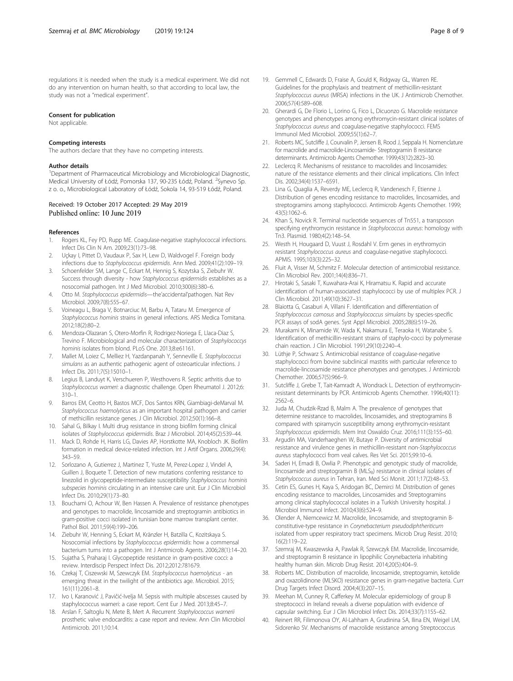<span id="page-7-0"></span>regulations it is needed when the study is a medical experiment. We did not do any intervention on human health, so that according to local law, the study was not a "medical experiment".

#### Consent for publication

Not applicable.

#### Competing interests

The authors declare that they have no competing interests.

#### Author details

<sup>1</sup>Department of Pharmaceutical Microbiology and Microbiological Diagnostic, Medical University of Łódź, Pomorska 137, 90-235 Łódź, Poland. <sup>2</sup>Synevo Sp. z o. o., Microbiological Laboratory of Łódź, Sokola 14, 93-519 Łódź, Poland.

#### Received: 19 October 2017 Accepted: 29 May 2019 Published online: 10 June 2019

#### References

- Rogers KL, Fey PD, Rupp ME. Coagulase-negative staphylococcal infections. Infect Dis Clin N Am. 2009;23(1):73–98.
- 2. Uçkay I, Pittet D, Vaudaux P, Sax H, Lew D, Waldvogel F. Foreign body infections due to Staphylococcus epidermidis. Ann Med. 2009;41(2):109–19.
- 3. Schoenfelder SM, Lange C, Eckart M, Hennig S, Kozytska S, Ziebuhr W. Success through diversity - how Staphylococcus epidermidis establishes as a nosocomial pathogen. Int J Med Microbiol. 2010;300(6):380–6.
- 4. Otto M. Staphylococcus epidermidis—the'accidental'pathogen. Nat Rev Microbiol. 2009;7(8):555–67.
- 5. Voineagu L, Braga V, Botnarciuc M, Barbu A, Tataru M. Emergence of Staphylococcus hominis strains in general infections. ARS Medica Tomitana. 2012;18(2):80–2.
- 6. Mendoza-Olazaran S, Otero-Morfin R, Rodrigez-Noriega E, Llaca-Diaz S, Trevino F. Microbiological and molecular characterization of Staphylococcys hominis isolates from blond. PLoS One. 2013;8:e61161.
- 7. Mallet M, Loiez C, Melliez H, Yazdanpanah Y, Senneville E. Staphylococcus simulans as an authentic pathogenic agent of osteoarticular infections. J Infect Dis. 2011;7(5):15010–1.
- 8. Legius B, Landuyt K, Verschueren P, Westhovens R. Septic arthritis due to Staphylococcus warneri: a diagnostic challenge. Open Rheumatol J. 2012;6: 310–1.
- 9. Barros EM, Ceotto H, Bastos MCF, Dos Santos KRN, Giambiagi-deMarval M. Staphylococcus haemolyticus as an important hospital pathogen and carrier of methicillin resistance genes. J Clin Microbiol. 2012;50(1):166–8.
- 10. Sahal G, Bilkay I. Multi drug resistance in strong biofilm forming clinical isolates of Staphylococcus epidermidis. Braz J Microbiol. 2014;45(2):539–44.
- 11. Mack D, Rohde H, Harris LG, Davies AP, Horstkotte MA, Knobloch JK. Biofilm formation in medical device-related infection. Int J Artif Organs. 2006;29(4): 343–59.
- 12. Sorlozano A, Gutierrez J, Martinez T, Yuste M, Perez-Lopez J, Vindel A, Guillen J, Boquete T. Detection of new mutations conferring resistance to linezolid in glycopeptide-intermediate susceptibility Staphylococcus hominis subspecies hominis circulating in an intensive care unit. Eur J Clin Microbiol Infect Dis. 2010;29(1):73–80.
- 13. Bouchami O, Achour W, Ben Hassen A. Prevalence of resistance phenotypes and genotypes to macrolide, lincosamide and streptogramin antibiotics in gram-positive cocci isolated in tunisian bone marrow transplant center. Pathol Biol. 2011;59(4):199–206.
- 14. Ziebuhr W, Henning S, Eckart M, Kränzler H, Batzilla C, Kozitskaya S. Nosocomial infections by Staphylococcus epidermidis: how a commensal bacterium turns into a pathogen. Int J Antmicrob Agents. 2006;28(1):14–20.
- 15. Sujatha S, Praharaj I. Glycopeptide resistance in gram-positive cocci: a review. Interdiscip Perspect Infect Dis. 2012;2012:781679.
- 16. Czekaj T, Ciszewski M, Szewczyk EM. Staphylococcus haemolyticus an emerging threat in the twilight of the antibiotics age. Microbiol. 2015; 161(11):2061–8.
- 17. Ivo I, Karanović J, Pavičić-Ivelja M. Sepsis with multiple abscesses caused by staphylococcus warneri: a case report. Cent Eur J Med. 2013;8:45–7.
- 18. Arslan F, Saltoglu N, Mete B, Mert A. Recurrent Staphylococcus warnerii prosthetic valve endocarditis: a case report and review. Ann Clin Microbiol Antimicrob. 2011;10:14.
- 19. Gemmell C, Edwards D, Fraise A, Gould K, Ridgway GL, Warren RE. Guidelines for the prophylaxis and treatment of methicillin-resistant Staphylococcus aureus (MRSA) infections in the UK. J Antimicrob Chemother. 2006;57(4):589–608.
- 20. Gherardi G, De Florio L, Lorino G, Fico L, Dicuonzo G. Macrolide resistance genotypes and phenotypes among erythromycin-resistant clinical isolates of Staphylococcus aureus and coagulase-negative staphylococci. FEMS Immunol Med Microbiol. 2009;55(1):62–7.
- 21. Roberts MC, Sutcliffe J, Courvalin P, Jensen B, Rood J, Seppala H. Nomenclature for macrolide and macrolide-Lincosamide- Streptogramin B resistance determinants. Antimicrob Agents Chemother. 1999;43(12):2823–30.
- 22. Leclerca R. Mechanisms of resistance to macrolides and lincosamides: nature of the resistance elements and their clinical implications. Clin Infect Dis. 2002;34(4):1537–6591.
- 23. Lina G, Quaglia A, Reverdy ME, Leclercq R, Vandenesch F, Etienne J. Distribution of genes encoding resistance to macrolides, lincosamides, and streptogramins among staphylococci. Antimicrob Agents Chemother. 1999; 43(5):1062–6.
- 24. Khan S, Novick R. Terminal nucleotide sequences of Tn551, a transposon specifying erythromycin resistance in Staphylococcus aureus: homology with Tn3. Plasmid. 1980;4(2):148–54.
- 25. Westh H, Hougaard D, Vuust J, Rosdahl V. Erm genes in erythromycin resistant Staphylococcus aureus and coagulase-negative staphylococci. APMIS. 1995;103(3):225–32.
- 26. Fluit A, Visser M, Schmitz F. Molecular detection of antimicrobial resistance. Clin Microbiol Rev. 2001;14(4):836–71.
- 27. Hirotaki S, Sasaki T, Kuwahara-Arai K, Hiramatsu K. Rapid and accurate identification of human-associated staphylococci by use of multiplex PCR. J Clin Microbiol. 2011;49(10):3627–31.
- 28. Blaiotta G, Casaburi A, Villani F. Identification and differentiation of Staphylococcus carnosus and Staphylococcus simulans by species-specific PCR assays of sodA genes. Syst Appl Microbiol. 2005;28(6):519–26.
- 29. Murakami K, Minamide W, Wada K, Nakamura E, Teraoka H, Watanabe S. Identification of methicillin-resistant strains of staphylo-cocci by polymerase chain reaction. J Clin Microbiol. 1991;29(10):2240–4.
- 30. Lüthje P, Schwarz S. Antimicrobial resistance of coagulase-negative staphylococci from bovine subclinical mastitis with particular reference to macrolide-lincosamide resistance phenotypes and genotypes. J Antimicrob Chemother. 2006;57(5):966–9.
- 31. Sutcliffe J, Grebe T, Tait-Kamradt A, Wondrack L. Detection of erythromycinresistant determinants by PCR. Antimicrob Agents Chemother. 1996;40(11): 2562–6.
- 32. Juda M, Chudzik-Rzad B, Malm A. The prevalence of genotypes that determine resistance to macrolides, lincosamides, and streptogramins B compared with spiramycin susceptibility among erythromycin-resistant Staphylococcus epidermidis. Mem Inst Oswaldo Cruz. 2016;111(3):155–60.
- 33. Argudín MA, Vanderhaeghen W, Butaye P. Diversity of antimicrobial resistance and virulence genes in methicillin-resistant non-Staphylococcus aureus staphylococci from veal calves. Res Vet Sci. 2015;99:10–6.
- 34. Saderi H, Emadi B, Owlia P. Phenotypic and genotypic study of macrolide, lincosamide and streptogramin B (MLS<sub>B</sub>) resistance in clinical isolates of Staphylococcus aureus in Tehran, Iran. Med Sci Monit. 2011;17(2):48–53.
- 35. Cetin ES, Gunes H, Kaya S, Aridogan BC, Demirci M. Distribution of genes encoding resistance to macrolides, Lincosamides and Streptogramins among clinical staphylococcal isolates in a Turkish University hospital. J Microbiol Immunol Infect. 2010;43(6):524–9.
- 36. Olender A, Niemcewicz M. Macrolide, lincosamide, and streptogramin Bconstitutive-type resistance in Corynebacterium pseudodiphtheriticum isolated from upper respiratory tract specimens. Microb Drug Resist. 2010; 16(2):119–22.
- 37. Szemraj M, Kwaszewska A, Pawlak R, Szewczyk EM. Macrolide, lincosamide, and streptogramin B resistance in lipophilic Corynebacteria inhabiting healthy human skin. Microb Drug Resist. 2014;20(5):404–9.
- 38. Roberts MC. Distribution of macrolide, lincosamide, streptogramin, ketolide and oxazolidinone (MLSKO) resistance genes in gram-negative bacteria. Curr Drug Targets Infect Disord. 2004;4(3):207–15.
- 39. Meehan M, Cunney R, Cafferkey M. Molecular epidemiology of group B streptococci in Ireland reveals a diverse population with evidence of capsular switching. Eur J Clin Microbiol Infect Dis. 2014;33(7):1155–62.
- 40. Reinert RR, Filimonova OY, Al-Lahham A, Grudinina SA, Ilina EN, Weigel LM, Sidorenko SV. Mechanisms of macrolide resistance among Streptococcus